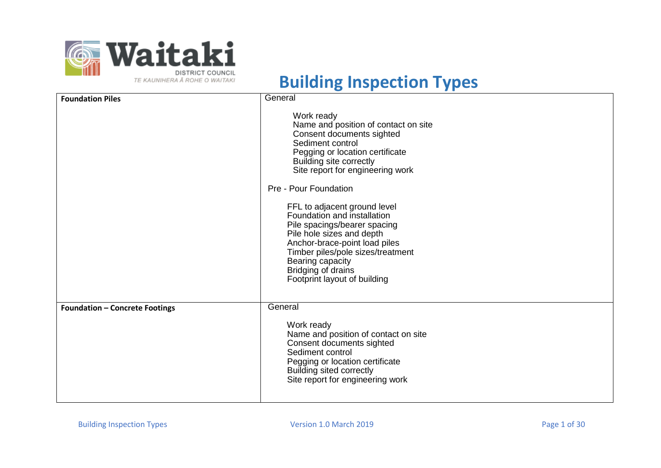

| <b>Foundation Piles</b>               | General                                                                                                                                                                                                                                                                                                                                                                                                                                                                                                    |
|---------------------------------------|------------------------------------------------------------------------------------------------------------------------------------------------------------------------------------------------------------------------------------------------------------------------------------------------------------------------------------------------------------------------------------------------------------------------------------------------------------------------------------------------------------|
|                                       | Work ready<br>Name and position of contact on site<br>Consent documents sighted<br>Sediment control<br>Pegging or location certificate<br>Building site correctly<br>Site report for engineering work<br>Pre - Pour Foundation<br>FFL to adjacent ground level<br>Foundation and installation<br>Pile spacings/bearer spacing<br>Pile hole sizes and depth<br>Anchor-brace-point load piles<br>Timber piles/pole sizes/treatment<br>Bearing capacity<br>Bridging of drains<br>Footprint layout of building |
| <b>Foundation - Concrete Footings</b> | General                                                                                                                                                                                                                                                                                                                                                                                                                                                                                                    |
|                                       | Work ready<br>Name and position of contact on site<br>Consent documents sighted<br>Sediment control<br>Pegging or location certificate<br>Building sited correctly<br>Site report for engineering work                                                                                                                                                                                                                                                                                                     |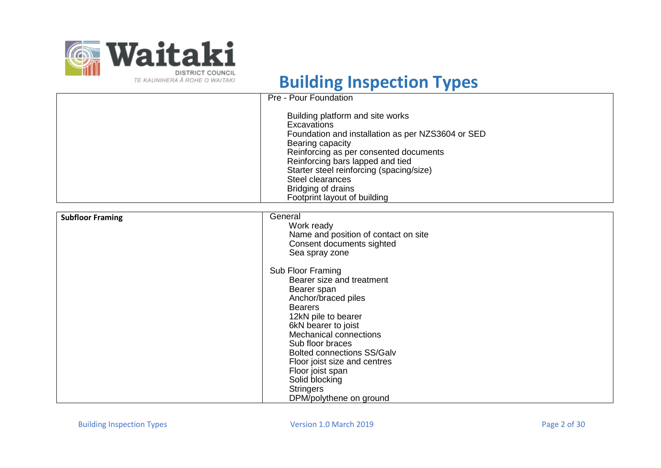

|                         | Pre - Pour Foundation                                                                                                                                                                                                                                                                                                        |
|-------------------------|------------------------------------------------------------------------------------------------------------------------------------------------------------------------------------------------------------------------------------------------------------------------------------------------------------------------------|
|                         | Building platform and site works<br>Excavations<br>Foundation and installation as per NZS3604 or SED<br>Bearing capacity<br>Reinforcing as per consented documents<br>Reinforcing bars lapped and tied<br>Starter steel reinforcing (spacing/size)<br>Steel clearances<br>Bridging of drains<br>Footprint layout of building |
|                         | General                                                                                                                                                                                                                                                                                                                      |
| <b>Subfloor Framing</b> | Work ready                                                                                                                                                                                                                                                                                                                   |
|                         | Name and position of contact on site                                                                                                                                                                                                                                                                                         |
|                         | Consent documents sighted                                                                                                                                                                                                                                                                                                    |
|                         | Sea spray zone                                                                                                                                                                                                                                                                                                               |
|                         | Sub Floor Framing                                                                                                                                                                                                                                                                                                            |
|                         | Bearer size and treatment                                                                                                                                                                                                                                                                                                    |
|                         | Bearer span                                                                                                                                                                                                                                                                                                                  |
|                         | Anchor/braced piles                                                                                                                                                                                                                                                                                                          |
|                         | <b>Bearers</b>                                                                                                                                                                                                                                                                                                               |
|                         | 12kN pile to bearer                                                                                                                                                                                                                                                                                                          |
|                         | 6kN bearer to joist<br><b>Mechanical connections</b>                                                                                                                                                                                                                                                                         |
|                         | Sub floor braces                                                                                                                                                                                                                                                                                                             |
|                         | <b>Bolted connections SS/Galv</b>                                                                                                                                                                                                                                                                                            |
|                         | Floor joist size and centres                                                                                                                                                                                                                                                                                                 |
|                         | Floor joist span                                                                                                                                                                                                                                                                                                             |
|                         | Solid blocking                                                                                                                                                                                                                                                                                                               |
|                         | <b>Stringers</b>                                                                                                                                                                                                                                                                                                             |
|                         | DPM/polythene on ground                                                                                                                                                                                                                                                                                                      |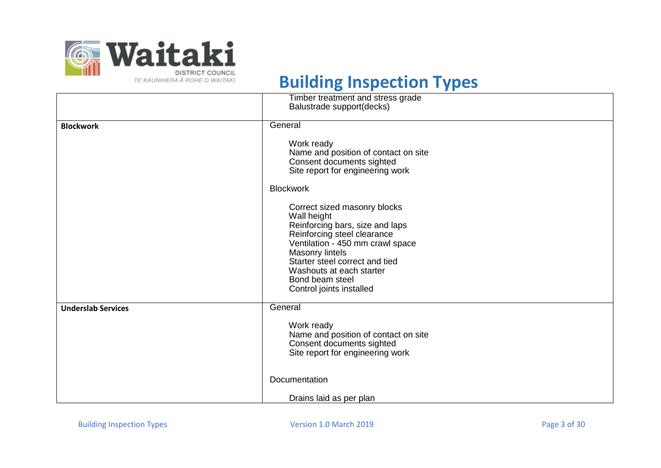

|                           | Timber treatment and stress grade    |
|---------------------------|--------------------------------------|
|                           | Balustrade support(decks)            |
|                           |                                      |
| <b>Blockwork</b>          | General                              |
|                           | Work ready                           |
|                           | Name and position of contact on site |
|                           | Consent documents sighted            |
|                           | Site report for engineering work     |
|                           |                                      |
|                           | <b>Blockwork</b>                     |
|                           | Correct sized masonry blocks         |
|                           | Wall height                          |
|                           | Reinforcing bars, size and laps      |
|                           | Reinforcing steel clearance          |
|                           | Ventilation - 450 mm crawl space     |
|                           | Masonry lintels                      |
|                           | Starter steel correct and tied       |
|                           | Washouts at each starter             |
|                           | Bond beam steel                      |
|                           | Control joints installed             |
| <b>Underslab Services</b> | General                              |
|                           | Work ready                           |
|                           | Name and position of contact on site |
|                           | Consent documents sighted            |
|                           | Site report for engineering work     |
|                           |                                      |
|                           | Documentation                        |
|                           | Drains laid as per plan              |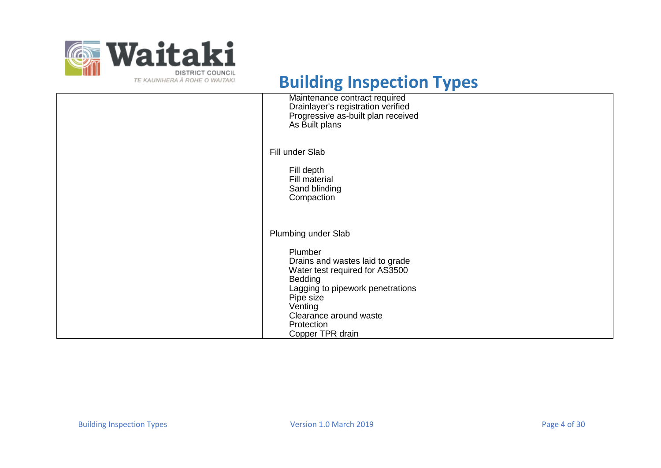

| Maintenance contract required<br>Drainlayer's registration verified<br>Progressive as-built plan received<br>As Built plans                                                                                                            |
|----------------------------------------------------------------------------------------------------------------------------------------------------------------------------------------------------------------------------------------|
| Fill under Slab<br>Fill depth<br>Fill material<br>Sand blinding<br>Compaction                                                                                                                                                          |
| Plumbing under Slab<br>Plumber<br>Drains and wastes laid to grade<br>Water test required for AS3500<br>Bedding<br>Lagging to pipework penetrations<br>Pipe size<br>Venting<br>Clearance around waste<br>Protection<br>Copper TPR drain |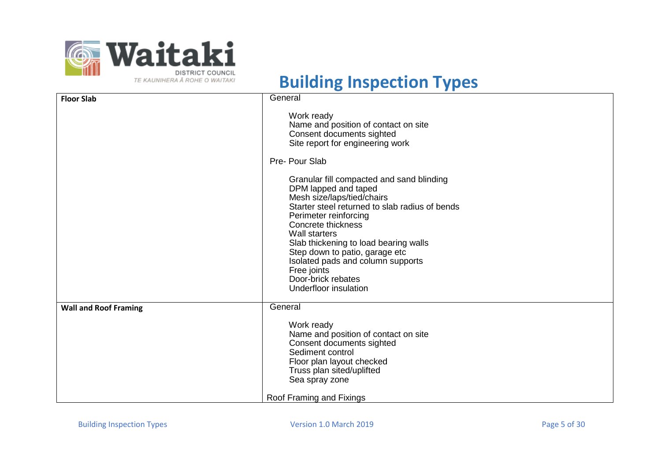

| <b>Floor Slab</b>            | General                                                                                                                                                                                                                                                                                                                                                                                                                                                                                                                                         |
|------------------------------|-------------------------------------------------------------------------------------------------------------------------------------------------------------------------------------------------------------------------------------------------------------------------------------------------------------------------------------------------------------------------------------------------------------------------------------------------------------------------------------------------------------------------------------------------|
|                              | Work ready<br>Name and position of contact on site<br>Consent documents sighted<br>Site report for engineering work<br>Pre- Pour Slab<br>Granular fill compacted and sand blinding<br>DPM lapped and taped<br>Mesh size/laps/tied/chairs<br>Starter steel returned to slab radius of bends<br>Perimeter reinforcing<br>Concrete thickness<br><b>Wall starters</b><br>Slab thickening to load bearing walls<br>Step down to patio, garage etc<br>Isolated pads and column supports<br>Free joints<br>Door-brick rebates<br>Underfloor insulation |
| <b>Wall and Roof Framing</b> | General                                                                                                                                                                                                                                                                                                                                                                                                                                                                                                                                         |
|                              | Work ready<br>Name and position of contact on site<br>Consent documents sighted<br>Sediment control<br>Floor plan layout checked<br>Truss plan sited/uplifted<br>Sea spray zone                                                                                                                                                                                                                                                                                                                                                                 |
|                              | Roof Framing and Fixings                                                                                                                                                                                                                                                                                                                                                                                                                                                                                                                        |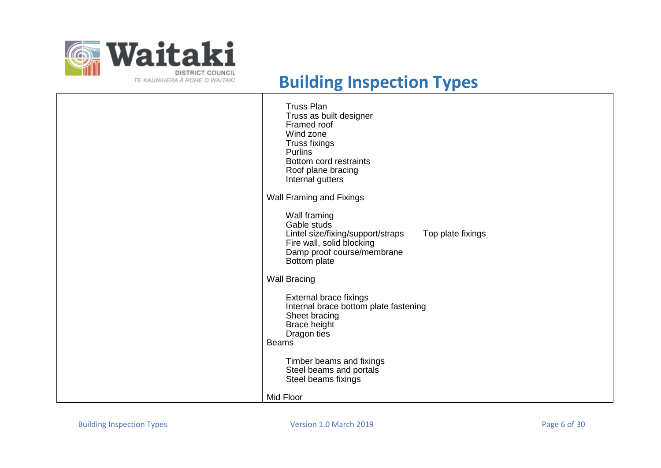

| <b>Truss Plan</b><br>Truss as built designer<br>Framed roof<br>Wind zone<br><b>Truss fixings</b><br><b>Purlins</b><br>Bottom cord restraints<br>Roof plane bracing<br>Internal gutters |
|----------------------------------------------------------------------------------------------------------------------------------------------------------------------------------------|
| Wall Framing and Fixings                                                                                                                                                               |
| Wall framing<br>Gable studs<br>Lintel size/fixing/support/straps<br>Top plate fixings<br>Fire wall, solid blocking<br>Damp proof course/membrane<br>Bottom plate                       |
| <b>Wall Bracing</b>                                                                                                                                                                    |
| External brace fixings<br>Internal brace bottom plate fastening<br>Sheet bracing<br>Brace height<br>Dragon ties<br><b>Beams</b>                                                        |
| Timber beams and fixings<br>Steel beams and portals<br>Steel beams fixings                                                                                                             |
| Mid Floor                                                                                                                                                                              |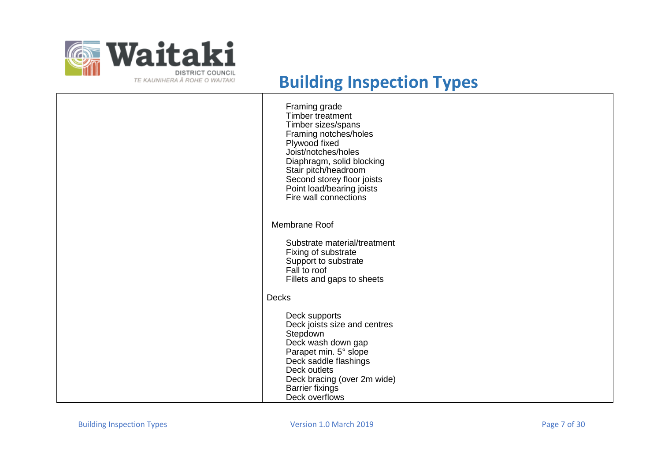

| Framing grade<br><b>Timber treatment</b><br>Timber sizes/spans<br>Framing notches/holes<br>Plywood fixed<br>Joist/notches/holes<br>Diaphragm, solid blocking<br>Stair pitch/headroom<br>Second storey floor joists<br>Point load/bearing joists<br>Fire wall connections |
|--------------------------------------------------------------------------------------------------------------------------------------------------------------------------------------------------------------------------------------------------------------------------|
| Membrane Roof                                                                                                                                                                                                                                                            |
| Substrate material/treatment<br>Fixing of substrate<br>Support to substrate<br>Fall to roof<br>Fillets and gaps to sheets                                                                                                                                                |
| <b>Decks</b>                                                                                                                                                                                                                                                             |
| Deck supports<br>Deck joists size and centres<br>Stepdown<br>Deck wash down gap<br>Parapet min. 5° slope<br>Deck saddle flashings<br>Deck outlets<br>Deck bracing (over 2m wide)<br><b>Barrier fixings</b><br>Deck overflows                                             |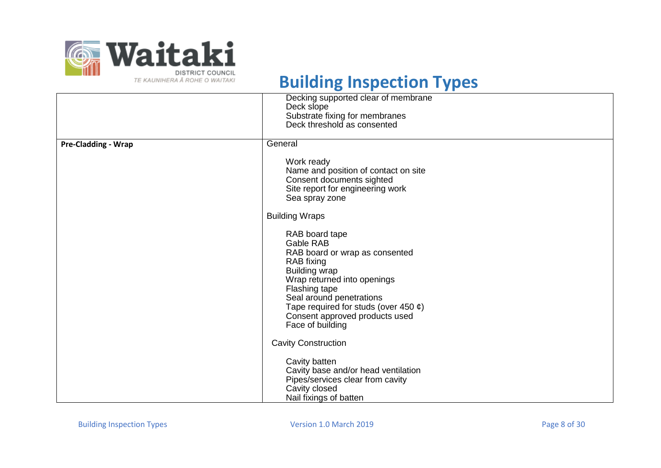

|                            | Decking supported clear of membrane<br>Deck slope<br>Substrate fixing for membranes<br>Deck threshold as consented                                                                                                                                                                     |
|----------------------------|----------------------------------------------------------------------------------------------------------------------------------------------------------------------------------------------------------------------------------------------------------------------------------------|
| <b>Pre-Cladding - Wrap</b> | General                                                                                                                                                                                                                                                                                |
|                            | Work ready<br>Name and position of contact on site<br>Consent documents sighted<br>Site report for engineering work<br>Sea spray zone                                                                                                                                                  |
|                            | <b>Building Wraps</b>                                                                                                                                                                                                                                                                  |
|                            | RAB board tape<br>Gable RAB<br>RAB board or wrap as consented<br>RAB fixing<br><b>Building wrap</b><br>Wrap returned into openings<br>Flashing tape<br>Seal around penetrations<br>Tape required for studs (over 450 $\varphi$ )<br>Consent approved products used<br>Face of building |
|                            | <b>Cavity Construction</b>                                                                                                                                                                                                                                                             |
|                            | Cavity batten<br>Cavity base and/or head ventilation<br>Pipes/services clear from cavity<br>Cavity closed<br>Nail fixings of batten                                                                                                                                                    |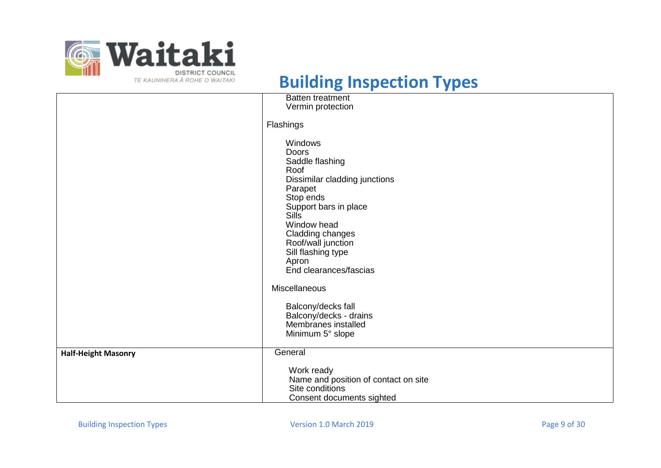

|                            | <b>Batten treatment</b><br>Vermin protection                                                                                                                                                                                                                           |
|----------------------------|------------------------------------------------------------------------------------------------------------------------------------------------------------------------------------------------------------------------------------------------------------------------|
|                            |                                                                                                                                                                                                                                                                        |
|                            | Flashings                                                                                                                                                                                                                                                              |
|                            | <b>Windows</b><br>Doors<br>Saddle flashing<br>Roof<br>Dissimilar cladding junctions<br>Parapet<br>Stop ends<br>Support bars in place<br><b>Sills</b><br>Window head<br>Cladding changes<br>Roof/wall junction<br>Sill flashing type<br>Apron<br>End clearances/fascias |
|                            | Miscellaneous                                                                                                                                                                                                                                                          |
|                            | Balcony/decks fall<br>Balcony/decks - drains<br>Membranes installed<br>Minimum 5° slope                                                                                                                                                                                |
| <b>Half-Height Masonry</b> | General                                                                                                                                                                                                                                                                |
|                            | Work ready<br>Name and position of contact on site<br>Site conditions<br>Consent documents sighted                                                                                                                                                                     |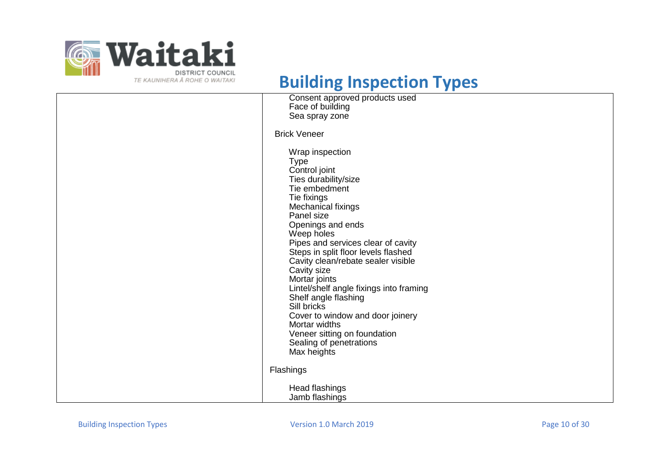

| Consent approved products used<br>Face of building                                                                                                                                                                                                                                                                                                                                                                                                                                                                                                 |
|----------------------------------------------------------------------------------------------------------------------------------------------------------------------------------------------------------------------------------------------------------------------------------------------------------------------------------------------------------------------------------------------------------------------------------------------------------------------------------------------------------------------------------------------------|
| Sea spray zone                                                                                                                                                                                                                                                                                                                                                                                                                                                                                                                                     |
| <b>Brick Veneer</b>                                                                                                                                                                                                                                                                                                                                                                                                                                                                                                                                |
| Wrap inspection<br><b>Type</b><br>Control joint<br>Ties durability/size<br>Tie embedment<br>Tie fixings<br>Mechanical fixings<br>Panel size<br>Openings and ends<br>Weep holes<br>Pipes and services clear of cavity<br>Steps in split floor levels flashed<br>Cavity clean/rebate sealer visible<br>Cavity size<br>Mortar joints<br>Lintel/shelf angle fixings into framing<br>Shelf angle flashing<br>Sill bricks<br>Cover to window and door joinery<br>Mortar widths<br>Veneer sitting on foundation<br>Sealing of penetrations<br>Max heights |
| Flashings                                                                                                                                                                                                                                                                                                                                                                                                                                                                                                                                          |
| Head flashings<br>Jamb flashings                                                                                                                                                                                                                                                                                                                                                                                                                                                                                                                   |
|                                                                                                                                                                                                                                                                                                                                                                                                                                                                                                                                                    |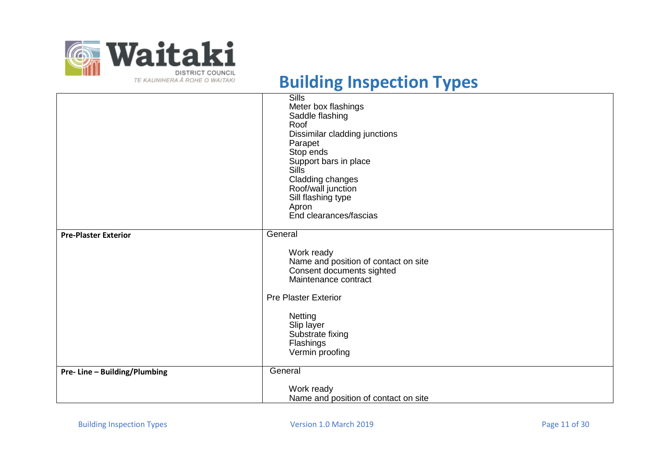

|                              | <b>Sills</b>                         |
|------------------------------|--------------------------------------|
|                              | Meter box flashings                  |
|                              | Saddle flashing                      |
|                              | Roof                                 |
|                              | Dissimilar cladding junctions        |
|                              | Parapet                              |
|                              | Stop ends                            |
|                              | Support bars in place                |
|                              | <b>Sills</b>                         |
|                              | Cladding changes                     |
|                              | Roof/wall junction                   |
|                              | Sill flashing type                   |
|                              | Apron<br>End clearances/fascias      |
|                              |                                      |
| <b>Pre-Plaster Exterior</b>  | General                              |
|                              | Work ready                           |
|                              | Name and position of contact on site |
|                              | Consent documents sighted            |
|                              | Maintenance contract                 |
|                              |                                      |
|                              | <b>Pre Plaster Exterior</b>          |
|                              | <b>Netting</b>                       |
|                              | Slip layer                           |
|                              | Substrate fixing                     |
|                              | Flashings                            |
|                              | Vermin proofing                      |
|                              |                                      |
| Pre-Line - Building/Plumbing | General                              |
|                              | Work ready                           |
|                              | Name and position of contact on site |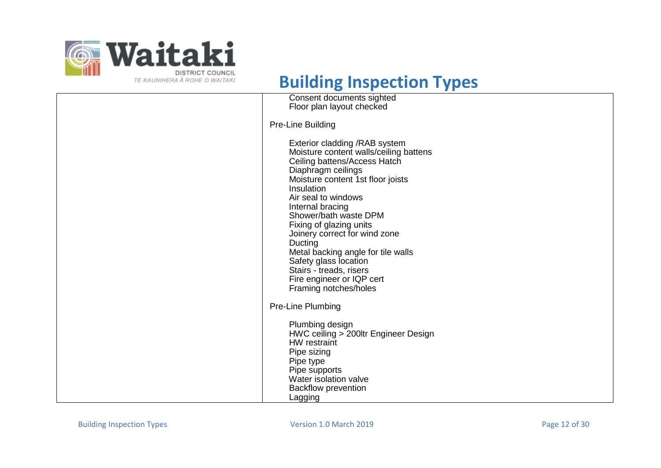

| Consent documents sighted<br>Floor plan layout checked                                                                                                                                                                                                                                                                                                                                                                                                                       |
|------------------------------------------------------------------------------------------------------------------------------------------------------------------------------------------------------------------------------------------------------------------------------------------------------------------------------------------------------------------------------------------------------------------------------------------------------------------------------|
| Pre-Line Building                                                                                                                                                                                                                                                                                                                                                                                                                                                            |
| Exterior cladding / RAB system<br>Moisture content walls/ceiling battens<br>Ceiling battens/Access Hatch<br>Diaphragm ceilings<br>Moisture content 1st floor joists<br>Insulation<br>Air seal to windows<br>Internal bracing<br>Shower/bath waste DPM<br>Fixing of glazing units<br>Joinery correct for wind zone<br>Ducting<br>Metal backing angle for tile walls<br>Safety glass location<br>Stairs - treads, risers<br>Fire engineer or IQP cert<br>Framing notches/holes |
| Pre-Line Plumbing                                                                                                                                                                                                                                                                                                                                                                                                                                                            |
| Plumbing design<br>HWC ceiling > 200ltr Engineer Design<br>HW restraint<br>Pipe sizing<br>Pipe type<br>Pipe supports<br>Water isolation valve<br><b>Backflow prevention</b><br>Lagging                                                                                                                                                                                                                                                                                       |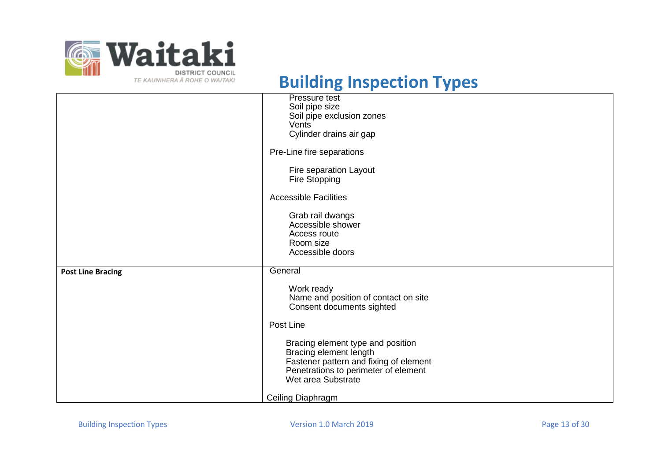

|                          | Pressure test<br>Soil pipe size                                                                                                               |
|--------------------------|-----------------------------------------------------------------------------------------------------------------------------------------------|
|                          | Soil pipe exclusion zones                                                                                                                     |
|                          | Vents                                                                                                                                         |
|                          | Cylinder drains air gap                                                                                                                       |
|                          | Pre-Line fire separations                                                                                                                     |
|                          | Fire separation Layout                                                                                                                        |
|                          | Fire Stopping                                                                                                                                 |
|                          | <b>Accessible Facilities</b>                                                                                                                  |
|                          |                                                                                                                                               |
|                          | Grab rail dwangs                                                                                                                              |
|                          | Accessible shower                                                                                                                             |
|                          | Access route                                                                                                                                  |
|                          | Room size                                                                                                                                     |
|                          | Accessible doors                                                                                                                              |
| <b>Post Line Bracing</b> | General                                                                                                                                       |
|                          | Work ready                                                                                                                                    |
|                          | Name and position of contact on site                                                                                                          |
|                          | Consent documents sighted                                                                                                                     |
|                          | Post Line                                                                                                                                     |
|                          | Bracing element type and position<br>Bracing element length<br>Fastener pattern and fixing of element<br>Penetrations to perimeter of element |
|                          | Wet area Substrate                                                                                                                            |
|                          | Ceiling Diaphragm                                                                                                                             |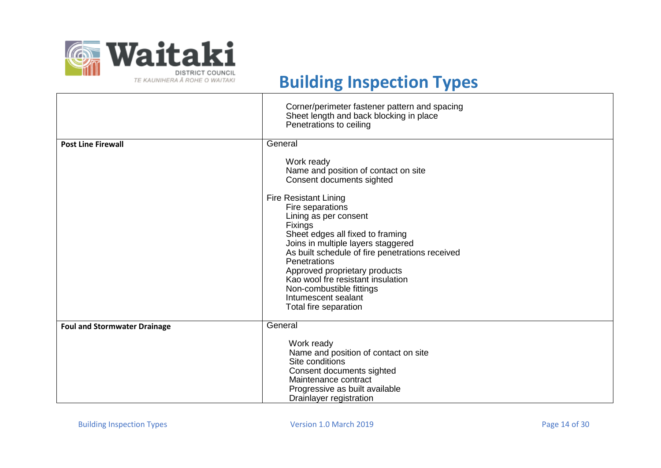

|                                     | Corner/perimeter fastener pattern and spacing<br>Sheet length and back blocking in place<br>Penetrations to ceiling                                                                                                                                                                                                                                                                               |
|-------------------------------------|---------------------------------------------------------------------------------------------------------------------------------------------------------------------------------------------------------------------------------------------------------------------------------------------------------------------------------------------------------------------------------------------------|
| <b>Post Line Firewall</b>           | General<br>Work ready<br>Name and position of contact on site<br>Consent documents sighted                                                                                                                                                                                                                                                                                                        |
|                                     | <b>Fire Resistant Lining</b><br>Fire separations<br>Lining as per consent<br><b>Fixings</b><br>Sheet edges all fixed to framing<br>Joins in multiple layers staggered<br>As built schedule of fire penetrations received<br><b>Penetrations</b><br>Approved proprietary products<br>Kao wool fre resistant insulation<br>Non-combustible fittings<br>Intumescent sealant<br>Total fire separation |
| <b>Foul and Stormwater Drainage</b> | General<br>Work ready<br>Name and position of contact on site<br>Site conditions<br>Consent documents sighted<br>Maintenance contract                                                                                                                                                                                                                                                             |
|                                     | Progressive as built available<br>Drainlayer registration                                                                                                                                                                                                                                                                                                                                         |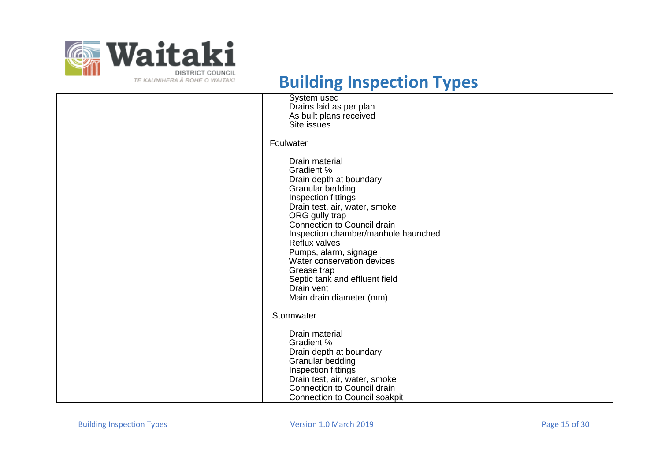

| $\tilde{\phantom{a}}$<br>ш<br>, ,                                                                                                                                                                                                                                                                                                                                                                            |
|--------------------------------------------------------------------------------------------------------------------------------------------------------------------------------------------------------------------------------------------------------------------------------------------------------------------------------------------------------------------------------------------------------------|
| System used<br>Drains laid as per plan<br>As built plans received<br>Site issues                                                                                                                                                                                                                                                                                                                             |
| Foulwater                                                                                                                                                                                                                                                                                                                                                                                                    |
| Drain material<br><b>Gradient %</b><br>Drain depth at boundary<br>Granular bedding<br>Inspection fittings<br>Drain test, air, water, smoke<br>ORG gully trap<br><b>Connection to Council drain</b><br>Inspection chamber/manhole haunched<br>Reflux valves<br>Pumps, alarm, signage<br>Water conservation devices<br>Grease trap<br>Septic tank and effluent field<br>Drain vent<br>Main drain diameter (mm) |
| Stormwater                                                                                                                                                                                                                                                                                                                                                                                                   |
| Drain material<br>Gradient %<br>Drain depth at boundary<br>Granular bedding<br>Inspection fittings<br>Drain test, air, water, smoke<br>Connection to Council drain<br>Connection to Council soakpit                                                                                                                                                                                                          |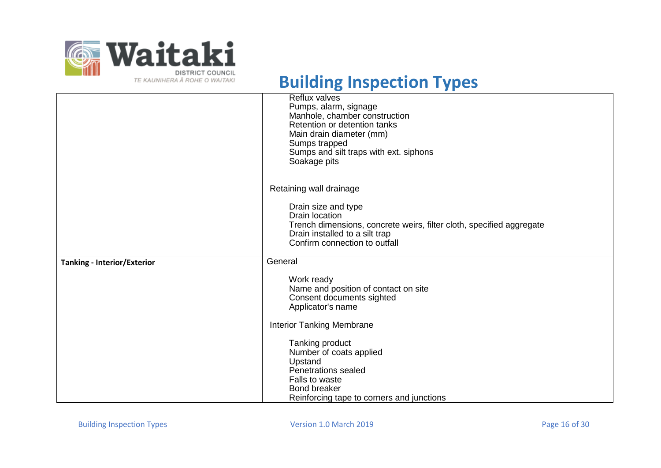

|                                    | Reflux valves<br>Pumps, alarm, signage<br>Manhole, chamber construction<br>Retention or detention tanks<br>Main drain diameter (mm)<br>Sumps trapped<br>Sumps and silt traps with ext. siphons<br>Soakage pits |
|------------------------------------|----------------------------------------------------------------------------------------------------------------------------------------------------------------------------------------------------------------|
|                                    | Retaining wall drainage                                                                                                                                                                                        |
|                                    | Drain size and type<br><b>Drain location</b><br>Trench dimensions, concrete weirs, filter cloth, specified aggregate<br>Drain installed to a silt trap<br>Confirm connection to outfall                        |
| <b>Tanking - Interior/Exterior</b> | General                                                                                                                                                                                                        |
|                                    | Work ready<br>Name and position of contact on site<br>Consent documents sighted<br>Applicator's name                                                                                                           |
|                                    | <b>Interior Tanking Membrane</b>                                                                                                                                                                               |
|                                    | Tanking product<br>Number of coats applied<br>Upstand<br>Penetrations sealed<br>Falls to waste<br><b>Bond breaker</b><br>Reinforcing tape to corners and junctions                                             |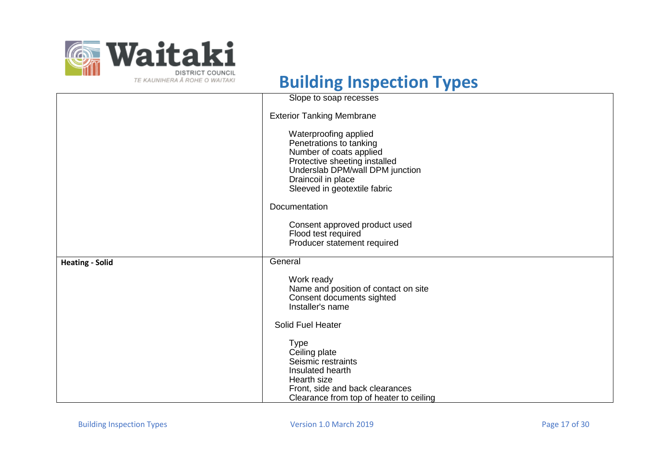

|                        | Slope to soap recesses                                                                                                                                                                                                                                                                                        |
|------------------------|---------------------------------------------------------------------------------------------------------------------------------------------------------------------------------------------------------------------------------------------------------------------------------------------------------------|
|                        | <b>Exterior Tanking Membrane</b>                                                                                                                                                                                                                                                                              |
|                        | Waterproofing applied<br>Penetrations to tanking<br>Number of coats applied<br>Protective sheeting installed<br>Underslab DPM/wall DPM junction<br>Draincoil in place<br>Sleeved in geotextile fabric<br>Documentation<br>Consent approved product used<br>Flood test required<br>Producer statement required |
|                        |                                                                                                                                                                                                                                                                                                               |
| <b>Heating - Solid</b> | General                                                                                                                                                                                                                                                                                                       |
|                        | Work ready<br>Name and position of contact on site<br>Consent documents sighted<br>Installer's name                                                                                                                                                                                                           |
|                        | Solid Fuel Heater                                                                                                                                                                                                                                                                                             |
|                        | <b>Type</b><br>Ceiling plate<br>Seismic restraints<br>Insulated hearth<br>Hearth size<br>Front, side and back clearances<br>Clearance from top of heater to ceiling                                                                                                                                           |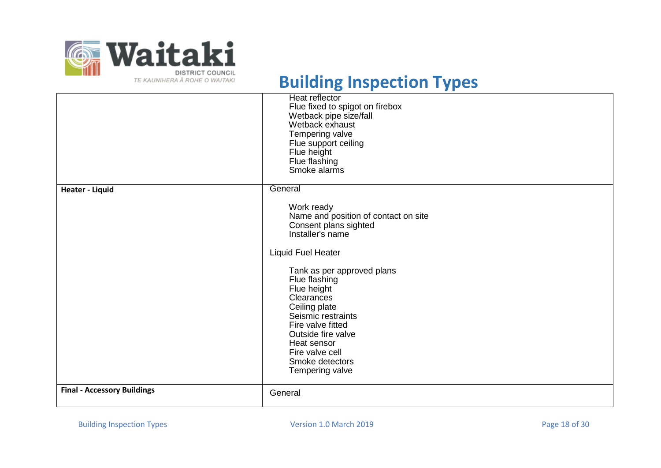

|                                    | Heat reflector<br>Flue fixed to spigot on firebox<br>Wetback pipe size/fall<br>Wetback exhaust<br>Tempering valve<br>Flue support ceiling<br>Flue height<br>Flue flashing<br>Smoke alarms                                          |
|------------------------------------|------------------------------------------------------------------------------------------------------------------------------------------------------------------------------------------------------------------------------------|
| <b>Heater - Liquid</b>             | General                                                                                                                                                                                                                            |
|                                    | Work ready<br>Name and position of contact on site<br>Consent plans sighted<br>Installer's name                                                                                                                                    |
|                                    | <b>Liquid Fuel Heater</b>                                                                                                                                                                                                          |
|                                    | Tank as per approved plans<br>Flue flashing<br>Flue height<br>Clearances<br>Ceiling plate<br>Seismic restraints<br>Fire valve fitted<br>Outside fire valve<br>Heat sensor<br>Fire valve cell<br>Smoke detectors<br>Tempering valve |
| <b>Final - Accessory Buildings</b> | General                                                                                                                                                                                                                            |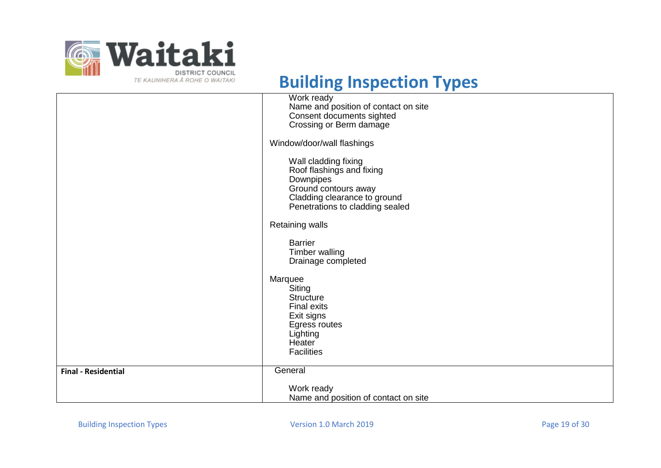

|                            | Work ready                                                      |
|----------------------------|-----------------------------------------------------------------|
|                            | Name and position of contact on site                            |
|                            | Consent documents sighted                                       |
|                            | Crossing or Berm damage                                         |
|                            | Window/door/wall flashings                                      |
|                            | Wall cladding fixing                                            |
|                            | Roof flashings and fixing                                       |
|                            | Downpipes                                                       |
|                            | Ground contours away                                            |
|                            | Cladding clearance to ground<br>Penetrations to cladding sealed |
|                            |                                                                 |
|                            | <b>Retaining walls</b>                                          |
|                            | <b>Barrier</b>                                                  |
|                            | Timber walling                                                  |
|                            | Drainage completed                                              |
|                            |                                                                 |
|                            | Marquee                                                         |
|                            | Siting                                                          |
|                            | <b>Structure</b><br><b>Final exits</b>                          |
|                            | Exit signs                                                      |
|                            | Egress routes                                                   |
|                            | Lighting                                                        |
|                            | <b>Heater</b>                                                   |
|                            | <b>Facilities</b>                                               |
|                            |                                                                 |
| <b>Final - Residential</b> | General                                                         |
|                            | Work ready                                                      |
|                            | Name and position of contact on site                            |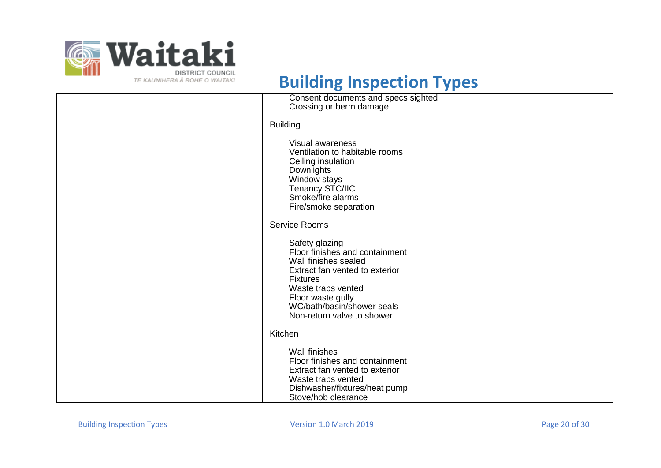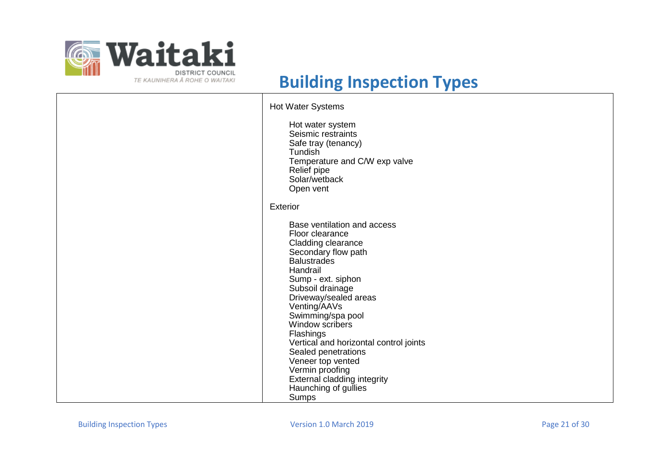

| <b>Hot Water Systems</b><br>Hot water system<br>Seismic restraints<br>Safe tray (tenancy)<br><b>Tundish</b><br>Temperature and C/W exp valve<br>Relief pipe<br>Solar/wetback<br>Open vent                                                                                                                                                                                                                                                      |
|------------------------------------------------------------------------------------------------------------------------------------------------------------------------------------------------------------------------------------------------------------------------------------------------------------------------------------------------------------------------------------------------------------------------------------------------|
| <b>Exterior</b>                                                                                                                                                                                                                                                                                                                                                                                                                                |
| Base ventilation and access<br>Floor clearance<br>Cladding clearance<br>Secondary flow path<br><b>Balustrades</b><br>Handrail<br>Sump - ext. siphon<br>Subsoil drainage<br>Driveway/sealed areas<br>Venting/AAVs<br>Swimming/spa pool<br>Window scribers<br>Flashings<br>Vertical and horizontal control joints<br>Sealed penetrations<br>Veneer top vented<br>Vermin proofing<br>External cladding integrity<br>Haunching of gullies<br>Sumps |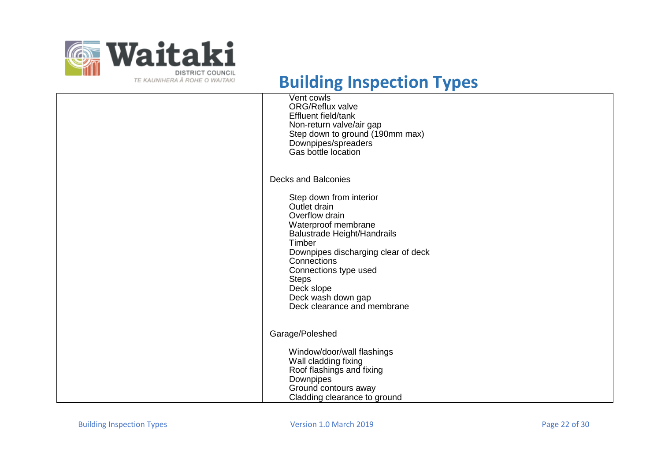

| Vent cowls<br><b>ORG/Reflux valve</b><br>Effluent field/tank<br>Non-return valve/air gap<br>Step down to ground (190mm max)<br>Downpipes/spreaders<br>Gas bottle location                                                                                                                                                        |
|----------------------------------------------------------------------------------------------------------------------------------------------------------------------------------------------------------------------------------------------------------------------------------------------------------------------------------|
| <b>Decks and Balconies</b><br>Step down from interior<br>Outlet drain<br>Overflow drain<br>Waterproof membrane<br><b>Balustrade Height/Handrails</b><br>Timber<br>Downpipes discharging clear of deck<br>Connections<br>Connections type used<br><b>Steps</b><br>Deck slope<br>Deck wash down gap<br>Deck clearance and membrane |
| Garage/Poleshed                                                                                                                                                                                                                                                                                                                  |
| Window/door/wall flashings<br>Wall cladding fixing<br>Roof flashings and fixing<br>Downpipes<br>Ground contours away<br>Cladding clearance to ground                                                                                                                                                                             |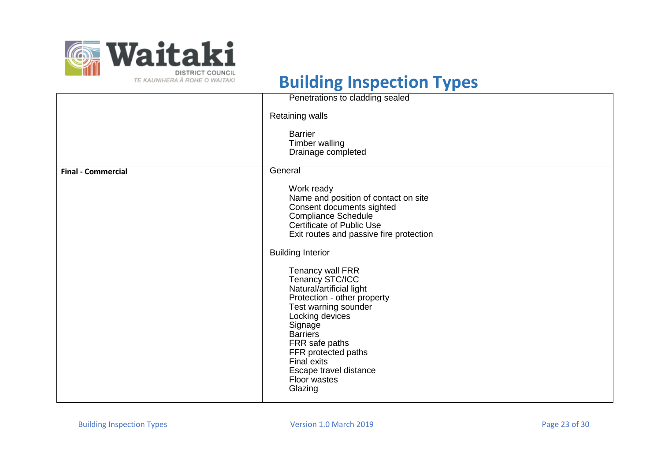

| Penetrations to cladding sealed                                                                                                                                                                                                                                                                                                                                                                                                                                                                           |
|-----------------------------------------------------------------------------------------------------------------------------------------------------------------------------------------------------------------------------------------------------------------------------------------------------------------------------------------------------------------------------------------------------------------------------------------------------------------------------------------------------------|
| <b>Retaining walls</b>                                                                                                                                                                                                                                                                                                                                                                                                                                                                                    |
| <b>Barrier</b><br>Timber walling<br>Drainage completed                                                                                                                                                                                                                                                                                                                                                                                                                                                    |
| General                                                                                                                                                                                                                                                                                                                                                                                                                                                                                                   |
| Work ready<br>Name and position of contact on site<br>Consent documents sighted<br><b>Compliance Schedule</b><br>Certificate of Public Use<br>Exit routes and passive fire protection<br><b>Building Interior</b><br>Tenancy wall FRR<br>Tenancy STC/ICC<br>Natural/artificial light<br>Protection - other property<br>Test warning sounder<br>Locking devices<br>Signage<br><b>Barriers</b><br>FRR safe paths<br>FFR protected paths<br>Final exits<br>Escape travel distance<br>Floor wastes<br>Glazing |
|                                                                                                                                                                                                                                                                                                                                                                                                                                                                                                           |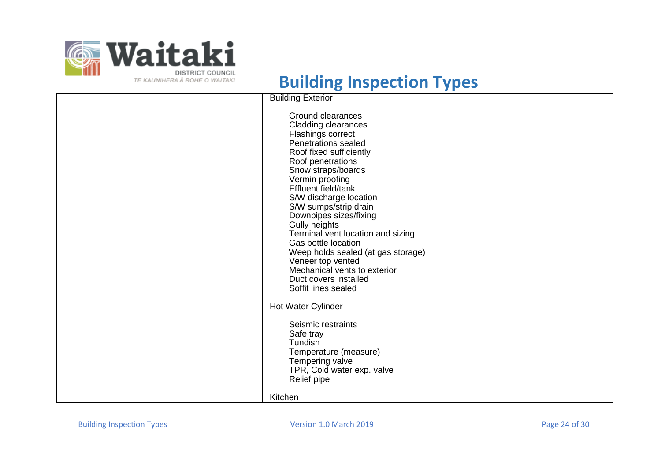

| $\mathbf{r}$ |                                                                                                                                                                                                                                                                                                                                                                                                                                                                                                           |
|--------------|-----------------------------------------------------------------------------------------------------------------------------------------------------------------------------------------------------------------------------------------------------------------------------------------------------------------------------------------------------------------------------------------------------------------------------------------------------------------------------------------------------------|
|              | <b>Building Exterior</b>                                                                                                                                                                                                                                                                                                                                                                                                                                                                                  |
|              | Ground clearances<br>Cladding clearances<br>Flashings correct<br>Penetrations sealed<br>Roof fixed sufficiently<br>Roof penetrations<br>Snow straps/boards<br>Vermin proofing<br>Effluent field/tank<br>S/W discharge location<br>S/W sumps/strip drain<br>Downpipes sizes/fixing<br>Gully heights<br>Terminal vent location and sizing<br>Gas bottle location<br>Weep holds sealed (at gas storage)<br>Veneer top vented<br>Mechanical vents to exterior<br>Duct covers installed<br>Soffit lines sealed |
|              | Hot Water Cylinder                                                                                                                                                                                                                                                                                                                                                                                                                                                                                        |
|              | Seismic restraints<br>Safe tray<br>Tundish<br>Temperature (measure)<br>Tempering valve<br>TPR, Cold water exp. valve<br>Relief pipe                                                                                                                                                                                                                                                                                                                                                                       |
|              | Kitchen                                                                                                                                                                                                                                                                                                                                                                                                                                                                                                   |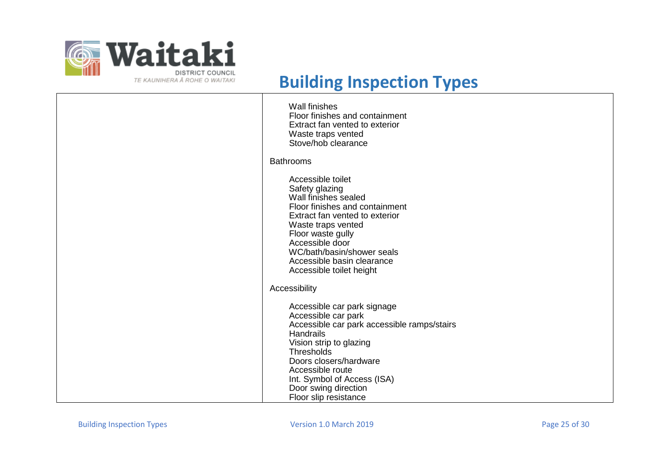

| <b>Wall finishes</b><br>Floor finishes and containment<br>Extract fan vented to exterior<br>Waste traps vented<br>Stove/hob clearance                                                                                                                                                        |
|----------------------------------------------------------------------------------------------------------------------------------------------------------------------------------------------------------------------------------------------------------------------------------------------|
| <b>Bathrooms</b>                                                                                                                                                                                                                                                                             |
| Accessible toilet<br>Safety glazing<br>Wall finishes sealed<br>Floor finishes and containment<br>Extract fan vented to exterior<br>Waste traps vented<br>Floor waste gully<br>Accessible door<br>WC/bath/basin/shower seals<br>Accessible basin clearance<br>Accessible toilet height        |
| Accessibility                                                                                                                                                                                                                                                                                |
| Accessible car park signage<br>Accessible car park<br>Accessible car park accessible ramps/stairs<br><b>Handrails</b><br>Vision strip to glazing<br>Thresholds<br>Doors closers/hardware<br>Accessible route<br>Int. Symbol of Access (ISA)<br>Door swing direction<br>Floor slip resistance |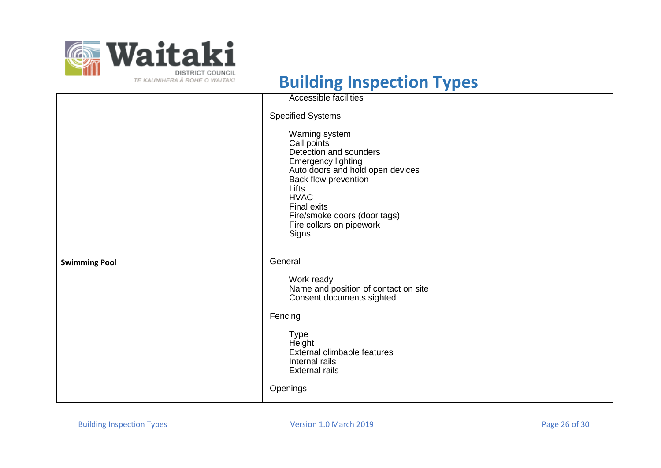

|                      | <b>Accessible facilities</b>                                                                                                                                                                                                                                        |
|----------------------|---------------------------------------------------------------------------------------------------------------------------------------------------------------------------------------------------------------------------------------------------------------------|
|                      | <b>Specified Systems</b>                                                                                                                                                                                                                                            |
|                      | Warning system<br>Call points<br>Detection and sounders<br><b>Emergency lighting</b><br>Auto doors and hold open devices<br>Back flow prevention<br>Lifts<br><b>HVAC</b><br><b>Final exits</b><br>Fire/smoke doors (door tags)<br>Fire collars on pipework<br>Signs |
| <b>Swimming Pool</b> | General                                                                                                                                                                                                                                                             |
|                      | Work ready<br>Name and position of contact on site<br>Consent documents sighted                                                                                                                                                                                     |
|                      | Fencing                                                                                                                                                                                                                                                             |
|                      | <b>Type</b><br>Height<br>External climbable features<br>Internal rails<br><b>External rails</b>                                                                                                                                                                     |
|                      | Openings                                                                                                                                                                                                                                                            |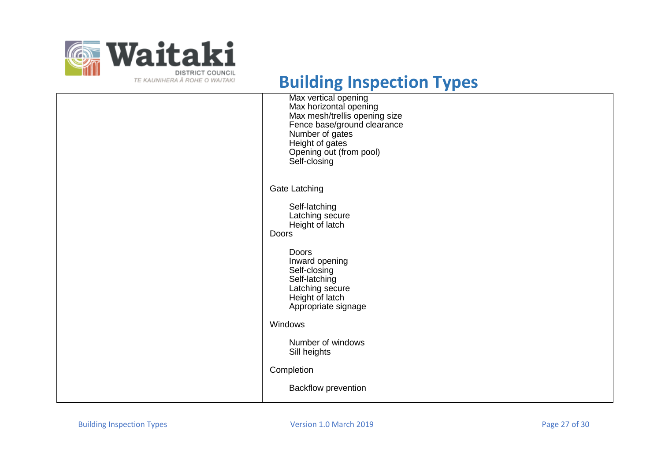

| Max vertical opening<br>Max horizontal opening<br>Max mesh/trellis opening size<br>Fence base/ground clearance<br>Number of gates<br>Height of gates<br>Opening out (from pool)<br>Self-closing |
|-------------------------------------------------------------------------------------------------------------------------------------------------------------------------------------------------|
| <b>Gate Latching</b>                                                                                                                                                                            |
| Self-latching<br>Latching secure<br>Height of latch<br>Doors                                                                                                                                    |
| <b>Doors</b><br>Inward opening<br>Self-closing<br>Self-latching<br>Latching secure<br>Height of latch<br>Appropriate signage                                                                    |
| Windows                                                                                                                                                                                         |
| Number of windows<br>Sill heights                                                                                                                                                               |
| Completion                                                                                                                                                                                      |
| <b>Backflow prevention</b>                                                                                                                                                                      |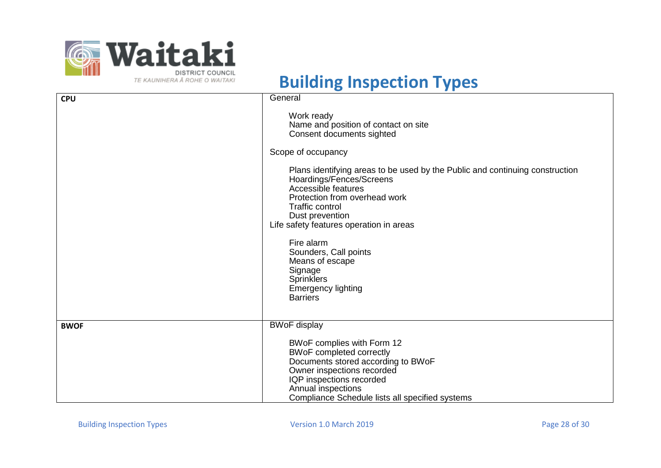

| <b>CPU</b>  | General                                                                                                                                                                                                                                                  |
|-------------|----------------------------------------------------------------------------------------------------------------------------------------------------------------------------------------------------------------------------------------------------------|
|             | Work ready<br>Name and position of contact on site<br>Consent documents sighted                                                                                                                                                                          |
|             | Scope of occupancy                                                                                                                                                                                                                                       |
|             | Plans identifying areas to be used by the Public and continuing construction<br>Hoardings/Fences/Screens<br>Accessible features<br>Protection from overhead work<br><b>Traffic control</b><br>Dust prevention<br>Life safety features operation in areas |
|             | Fire alarm<br>Sounders, Call points<br>Means of escape<br>Signage<br><b>Sprinklers</b><br><b>Emergency lighting</b><br><b>Barriers</b>                                                                                                                   |
| <b>BWOF</b> | <b>BWoF</b> display                                                                                                                                                                                                                                      |
|             | BWoF complies with Form 12<br><b>BWoF completed correctly</b><br>Documents stored according to BWoF<br>Owner inspections recorded<br>IQP inspections recorded<br>Annual inspections<br>Compliance Schedule lists all specified systems                   |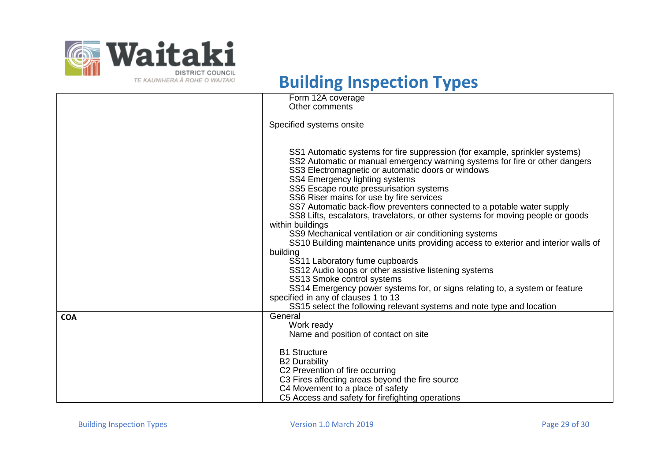

|            | Form 12A coverage                                                                  |
|------------|------------------------------------------------------------------------------------|
|            | Other comments                                                                     |
|            |                                                                                    |
|            | Specified systems onsite                                                           |
|            |                                                                                    |
|            |                                                                                    |
|            | SS1 Automatic systems for fire suppression (for example, sprinkler systems)        |
|            | SS2 Automatic or manual emergency warning systems for fire or other dangers        |
|            | SS3 Electromagnetic or automatic doors or windows                                  |
|            | SS4 Emergency lighting systems                                                     |
|            | SS5 Escape route pressurisation systems                                            |
|            | SS6 Riser mains for use by fire services                                           |
|            | SS7 Automatic back-flow preventers connected to a potable water supply             |
|            | SS8 Lifts, escalators, travelators, or other systems for moving people or goods    |
|            | within buildings                                                                   |
|            | SS9 Mechanical ventilation or air conditioning systems                             |
|            | SS10 Building maintenance units providing access to exterior and interior walls of |
|            | building                                                                           |
|            | SS11 Laboratory fume cupboards                                                     |
|            | SS12 Audio loops or other assistive listening systems                              |
|            | SS13 Smoke control systems                                                         |
|            | SS14 Emergency power systems for, or signs relating to, a system or feature        |
|            | specified in any of clauses 1 to 13                                                |
|            | SS15 select the following relevant systems and note type and location              |
| <b>COA</b> | General                                                                            |
|            | Work ready                                                                         |
|            | Name and position of contact on site                                               |
|            |                                                                                    |
|            | <b>B1 Structure</b>                                                                |
|            | <b>B2 Durability</b>                                                               |
|            | C2 Prevention of fire occurring                                                    |
|            | C3 Fires affecting areas beyond the fire source                                    |
|            | C4 Movement to a place of safety                                                   |
|            | C5 Access and safety for firefighting operations                                   |